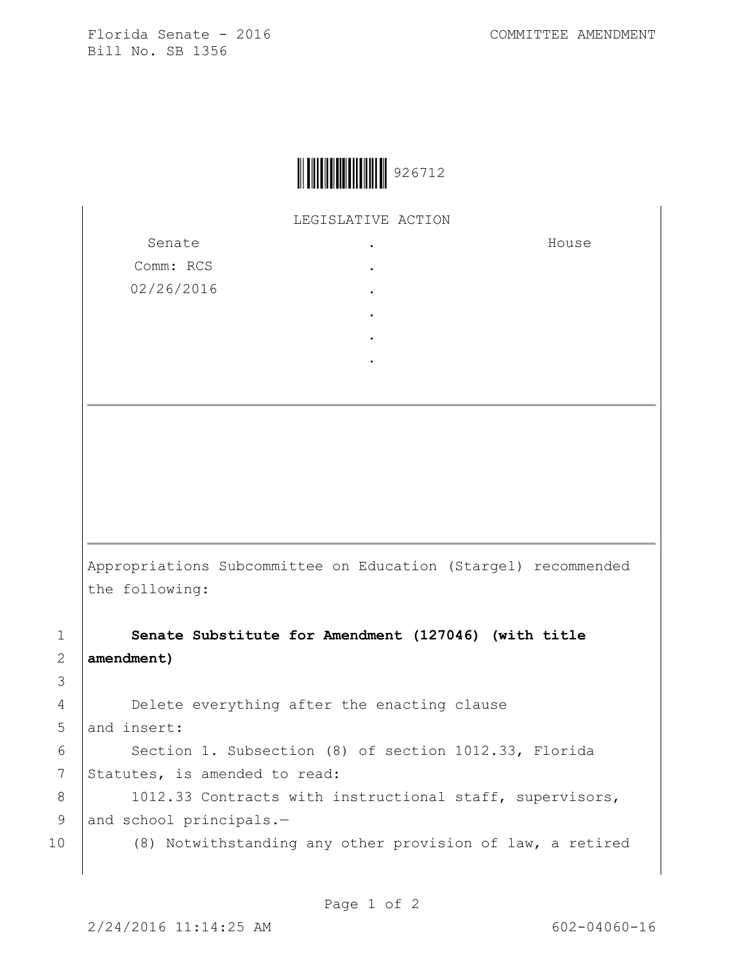Florida Senate - 2016 COMMITTEE AMENDMENT Bill No. SB 1356

House



LEGISLATIVE ACTION

Senate Comm: RCS 02/26/2016 . . . . . .

Appropriations Subcommittee on Education (Stargel) recommended the following:

1 **Senate Substitute for Amendment (127046) (with title**  2 **amendment)**

3

4 Delete everything after the enacting clause 5 and insert: 6 | Section 1. Subsection (8) of section 1012.33, Florida 7 Statutes, is amended to read: 8 | 1012.33 Contracts with instructional staff, supervisors, 9 and school principals.-10 (8) Notwithstanding any other provision of law, a retired